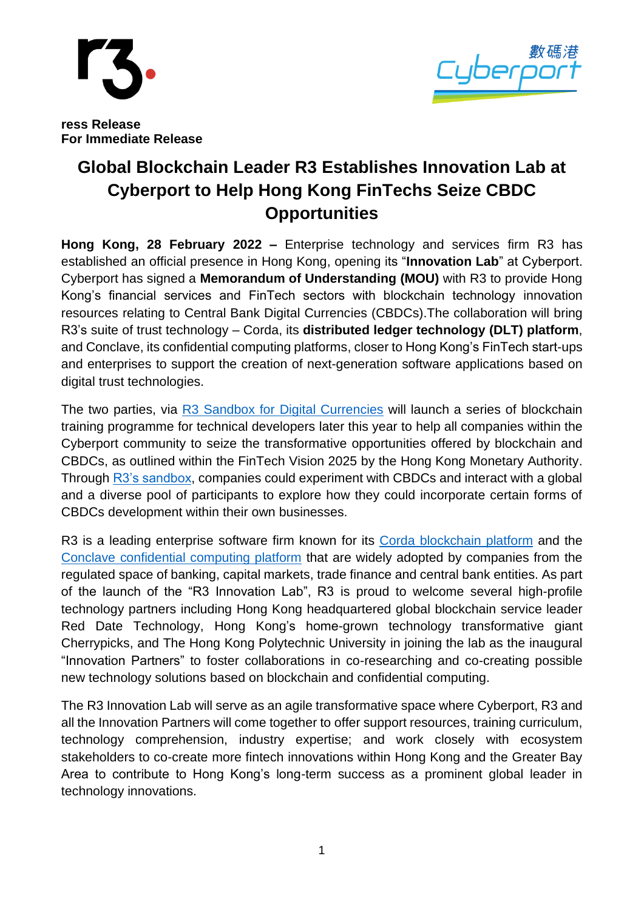



**ress Release For Immediate Release**

## **Global Blockchain Leader R3 Establishes Innovation Lab at Cyberport to Help Hong Kong FinTechs Seize CBDC Opportunities**

**Hong Kong, 28 February 2022 –** Enterprise technology and services firm R3 has established an official presence in Hong Kong, opening its "**Innovation Lab**" at Cyberport. Cyberport has signed a **Memorandum of Understanding (MOU)** with R3 to provide Hong Kong's financial services and FinTech sectors with blockchain technology innovation resources relating to Central Bank Digital Currencies (CBDCs).The collaboration will bring R3's suite of trust technology – Corda, its **distributed ledger technology (DLT) platform**, and Conclave, its confidential computing platforms, closer to Hong Kong's FinTech start-ups and enterprises to support the creation of next-generation software applications based on digital trust technologies.

The two parties, via [R3 Sandbox for Digital Currencies](https://www.r3.com/customers/digital-currency/) will launch a series of blockchain training programme for technical developers later this year to help all companies within the Cyberport community to seize the transformative opportunities offered by blockchain and CBDCs, as outlined within the FinTech Vision 2025 by the Hong Kong Monetary Authority. Through [R3's sandbox,](https://www.r3.com/wp-content/uploads/2021/12/R3_Digital_Currency_Sandbox_FS_2021.pdf) companies could experiment with CBDCs and interact with a global and a diverse pool of participants to explore how they could incorporate certain forms of CBDCs development within their own businesses.

R3 is a leading enterprise software firm known for its [Corda blockchain platform](https://www.corda.net/) and the [Conclave confidential computing platform](https://www.conclave.net/) that are widely adopted by companies from the regulated space of banking, capital markets, trade finance and central bank entities. As part of the launch of the "R3 Innovation Lab", R3 is proud to welcome several high-profile technology partners including Hong Kong headquartered global blockchain service leader Red Date Technology, Hong Kong's home-grown technology transformative giant Cherrypicks, and The Hong Kong Polytechnic University in joining the lab as the inaugural "Innovation Partners" to foster collaborations in co-researching and co-creating possible new technology solutions based on blockchain and confidential computing.

The R3 Innovation Lab will serve as an agile transformative space where Cyberport, R3 and all the Innovation Partners will come together to offer support resources, training curriculum, technology comprehension, industry expertise; and work closely with ecosystem stakeholders to co-create more fintech innovations within Hong Kong and the Greater Bay Area to contribute to Hong Kong's long-term success as a prominent global leader in technology innovations.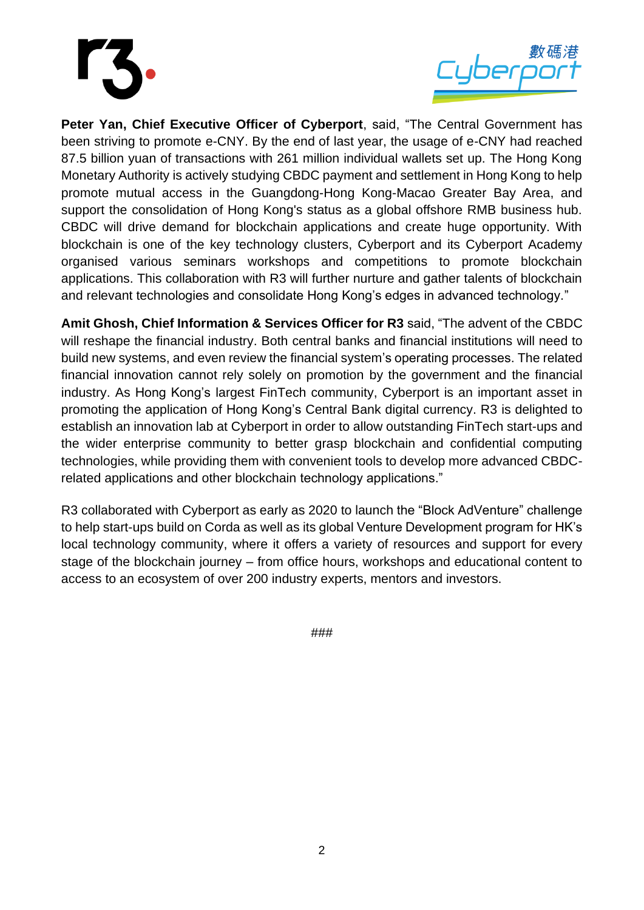



**Peter Yan, Chief Executive Officer of Cyberport**, said, "The Central Government has been striving to promote e-CNY. By the end of last year, the usage of e-CNY had reached 87.5 billion yuan of transactions with 261 million individual wallets set up. The Hong Kong Monetary Authority is actively studying CBDC payment and settlement in Hong Kong to help promote mutual access in the Guangdong-Hong Kong-Macao Greater Bay Area, and support the consolidation of Hong Kong's status as a global offshore RMB business hub. CBDC will drive demand for blockchain applications and create huge opportunity. With blockchain is one of the key technology clusters, Cyberport and its Cyberport Academy organised various seminars workshops and competitions to promote blockchain applications. This collaboration with R3 will further nurture and gather talents of blockchain and relevant technologies and consolidate Hong Kong's edges in advanced technology."

**Amit Ghosh, Chief Information & Services Officer for R3** said, "The advent of the CBDC will reshape the financial industry. Both central banks and financial institutions will need to build new systems, and even review the financial system's operating processes. The related financial innovation cannot rely solely on promotion by the government and the financial industry. As Hong Kong's largest FinTech community, Cyberport is an important asset in promoting the application of Hong Kong's Central Bank digital currency. R3 is delighted to establish an innovation lab at Cyberport in order to allow outstanding FinTech start-ups and the wider enterprise community to better grasp blockchain and confidential computing technologies, while providing them with convenient tools to develop more advanced CBDCrelated applications and other blockchain technology applications."

R3 collaborated with Cyberport as early as 2020 to launch the "Block AdVenture" challenge to help start-ups build on Corda as well as its global Venture Development program for HK's local technology community, where it offers a variety of resources and support for every stage of the blockchain journey – from office hours, workshops and educational content to access to an ecosystem of over 200 industry experts, mentors and investors.

###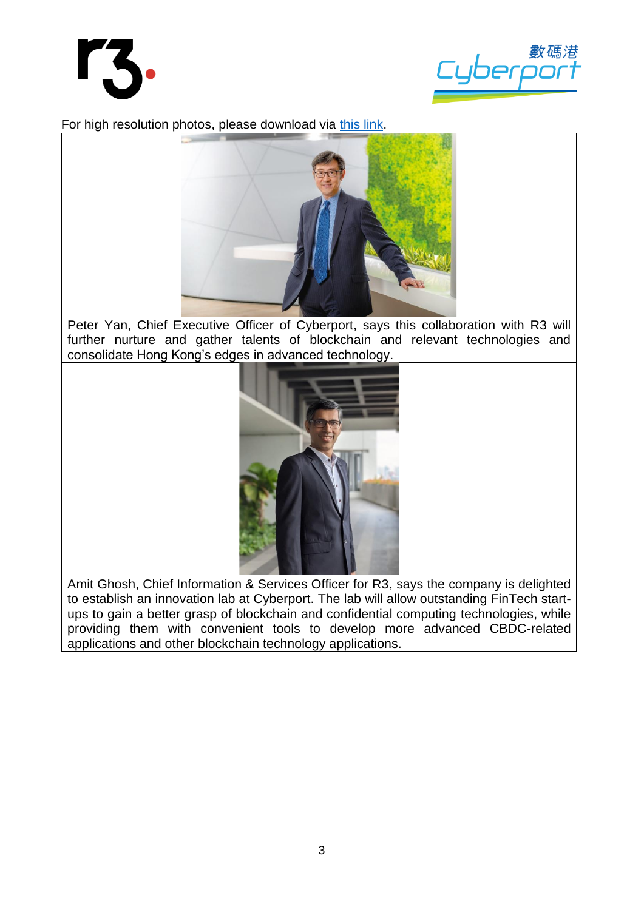



For high resolution photos, please download via [this link.](https://drive.google.com/drive/folders/1aJC3hMdn33EzQPBo78KUf_T3U37jzHBh?usp=sharing)



Peter Yan, Chief Executive Officer of Cyberport, says this collaboration with R3 will further nurture and gather talents of blockchain and relevant technologies and consolidate Hong Kong's edges in advanced technology.



Amit Ghosh, Chief Information & Services Officer for R3, says the company is delighted to establish an innovation lab at Cyberport. The lab will allow outstanding FinTech startups to gain a better grasp of blockchain and confidential computing technologies, while providing them with convenient tools to develop more advanced CBDC-related applications and other blockchain technology applications.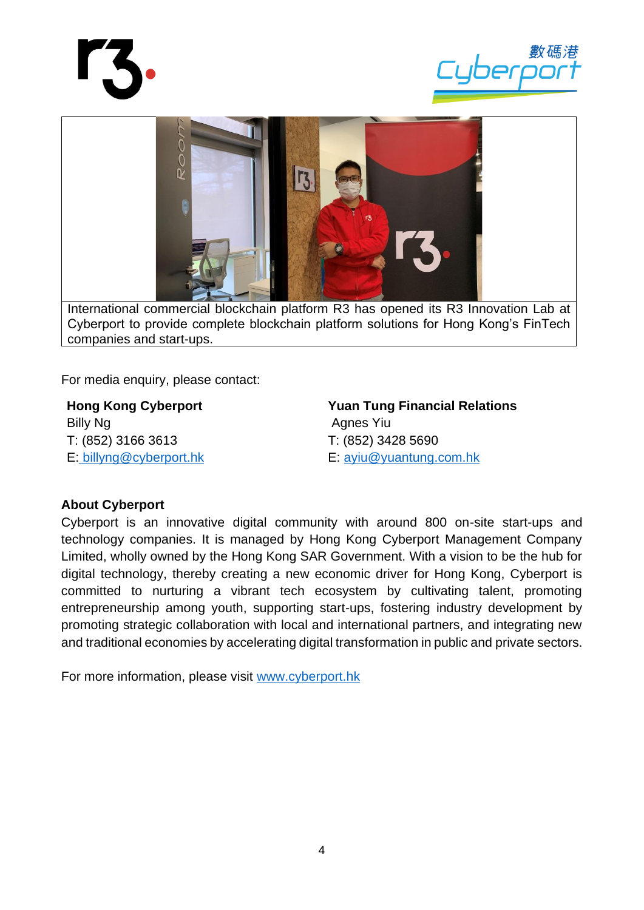





For media enquiry, please contact:

**Hong Kong Cyberport** Billy Ng T: (852) 3166 3613 E: [billyng@cyberport.hk](mailto:%20billyng@cyberport.hk)

**Yuan Tung Financial Relations** Agnes Yiu T: (852) 3428 5690 E: [ayiu@yuantung.com.hk](mailto:ayiu@yuantung.com.hk)

## **About Cyberport**

Cyberport is an innovative digital community with around 800 on-site start-ups and technology companies. It is managed by Hong Kong Cyberport Management Company Limited, wholly owned by the Hong Kong SAR Government. With a vision to be the hub for digital technology, thereby creating a new economic driver for Hong Kong, Cyberport is committed to nurturing a vibrant tech ecosystem by cultivating talent, promoting entrepreneurship among youth, supporting start-ups, fostering industry development by promoting strategic collaboration with local and international partners, and integrating new and traditional economies by accelerating digital transformation in public and private sectors.

For more information, please visit [www.cyberport.hk](http://www.cyberport.hk/)